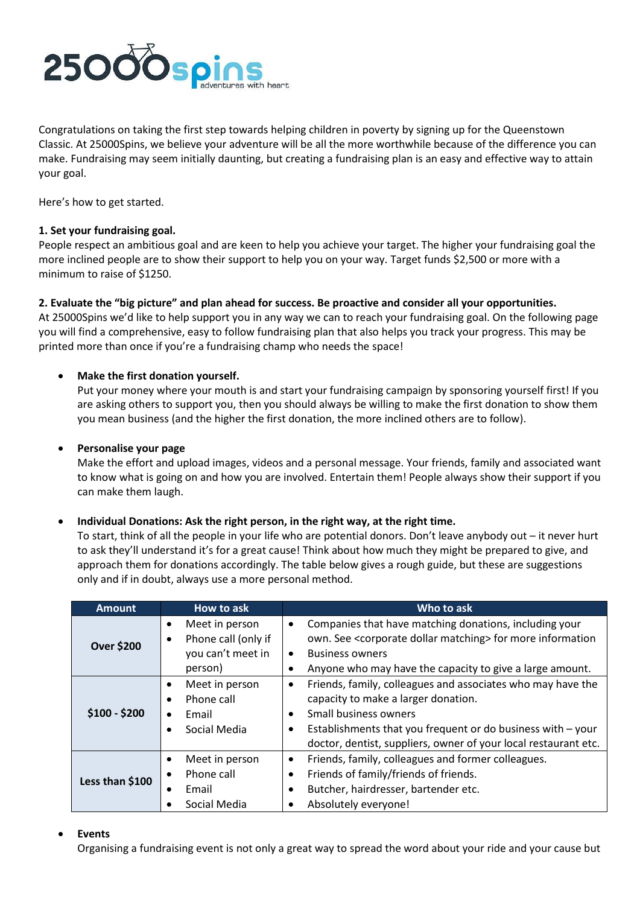

Congratulations on taking the first step towards helping children in poverty by signing up for the Queenstown Classic. At 25000Spins, we believe your adventure will be all the more worthwhile because of the difference you can make. Fundraising may seem initially daunting, but creating a fundraising plan is an easy and effective way to attain your goal.

Here's how to get started.

## **1. Set your fundraising goal.**

People respect an ambitious goal and are keen to help you achieve your target. The higher your fundraising goal the more inclined people are to show their support to help you on your way. Target funds \$2,500 or more with a minimum to raise of \$1250.

## **2. Evaluate the "big picture" and plan ahead for success. Be proactive and consider all your opportunities.**

At 25000Spins we'd like to help support you in any way we can to reach your fundraising goal. On the following page you will find a comprehensive, easy to follow fundraising plan that also helps you track your progress. This may be printed more than once if you're a fundraising champ who needs the space!

## **Make the first donation yourself.**

Put your money where your mouth is and start your fundraising campaign by sponsoring yourself first! If you are asking others to support you, then you should always be willing to make the first donation to show them you mean business (and the higher the first donation, the more inclined others are to follow).

## **Personalise your page**

Make the effort and upload images, videos and a personal message. Your friends, family and associated want to know what is going on and how you are involved. Entertain them! People always show their support if you can make them laugh.

### **Individual Donations: Ask the right person, in the right way, at the right time.**

To start, think of all the people in your life who are potential donors. Don't leave anybody out – it never hurt to ask they'll understand it's for a great cause! Think about how much they might be prepared to give, and approach them for donations accordingly. The table below gives a rough guide, but these are suggestions only and if in doubt, always use a more personal method.

| <b>Amount</b>     | How to ask                                                                                   | Who to ask                                                                                                                                                                                                                                                                                                    |
|-------------------|----------------------------------------------------------------------------------------------|---------------------------------------------------------------------------------------------------------------------------------------------------------------------------------------------------------------------------------------------------------------------------------------------------------------|
| <b>Over \$200</b> | Meet in person<br>$\bullet$<br>Phone call (only if<br>٠<br>you can't meet in<br>person)      | Companies that have matching donations, including your<br>$\bullet$<br>own. See <corporate dollar="" matching=""> for more information<br/><b>Business owners</b><br/><math display="inline">\bullet</math><br/>Anyone who may have the capacity to give a large amount.</corporate>                          |
| $$100 - $200$     | Meet in person<br>$\bullet$<br>Phone call<br>$\bullet$<br>Email<br>$\bullet$<br>Social Media | Friends, family, colleagues and associates who may have the<br>$\bullet$<br>capacity to make a larger donation.<br><b>Small business owners</b><br>$\bullet$<br>Establishments that you frequent or do business with $-$ your<br>$\bullet$<br>doctor, dentist, suppliers, owner of your local restaurant etc. |
| Less than \$100   | Meet in person<br>Phone call<br>$\bullet$<br>Email<br>Social Media                           | Friends, family, colleagues and former colleagues.<br>$\bullet$<br>Friends of family/friends of friends.<br>$\bullet$<br>Butcher, hairdresser, bartender etc.<br>Absolutely everyone!                                                                                                                         |

### **Events**

Organising a fundraising event is not only a great way to spread the word about your ride and your cause but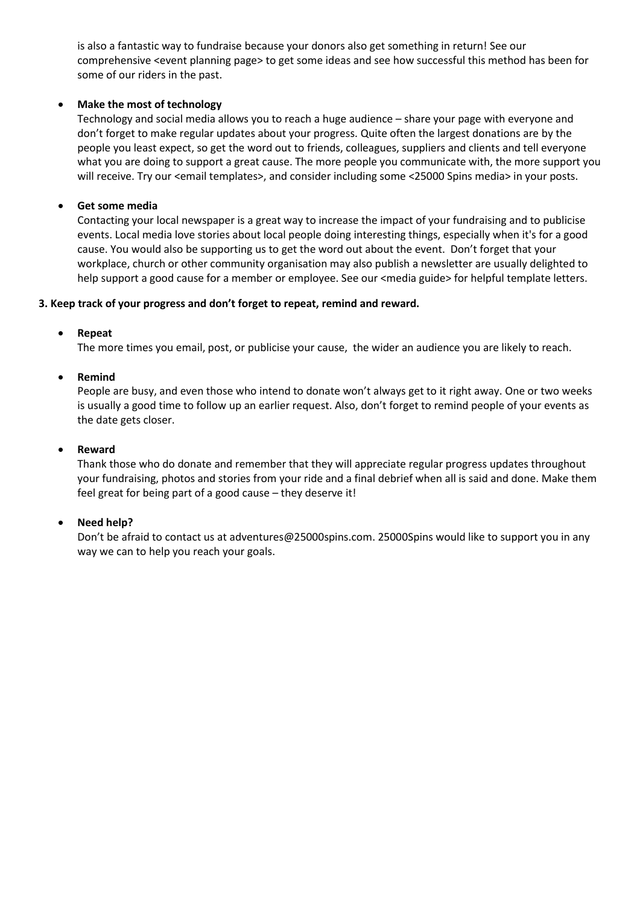is also a fantastic way to fundraise because your donors also get something in return! See our comprehensive <event planning page> to get some ideas and see how successful this method has been for some of our riders in the past.

# **Make the most of technology**

Technology and social media allows you to reach a huge audience – share your page with everyone and don't forget to make regular updates about your progress. Quite often the largest donations are by the people you least expect, so get the word out to friends, colleagues, suppliers and clients and tell everyone what you are doing to support a great cause. The more people you communicate with, the more support you will receive. Try our <email templates>, and consider including some <25000 Spins media> in your posts.

## **Get some media**

Contacting your local newspaper is a great way to increase the impact of your fundraising and to publicise events. Local media love stories about local people doing interesting things, especially when it's for a good cause. You would also be supporting us to get the word out about the event. Don't forget that your workplace, church or other community organisation may also publish a newsletter are usually delighted to help support a good cause for a member or employee. See our <media guide> for helpful template letters.

### **3. Keep track of your progress and don't forget to repeat, remind and reward.**

## **Repeat**

The more times you email, post, or publicise your cause, the wider an audience you are likely to reach.

## **Remind**

People are busy, and even those who intend to donate won't always get to it right away. One or two weeks is usually a good time to follow up an earlier request. Also, don't forget to remind people of your events as the date gets closer.

### **Reward**

Thank those who do donate and remember that they will appreciate regular progress updates throughout your fundraising, photos and stories from your ride and a final debrief when all is said and done. Make them feel great for being part of a good cause – they deserve it!

# **Need help?**

Don't be afraid to contact us at adventures@25000spins.com. 25000Spins would like to support you in any way we can to help you reach your goals.